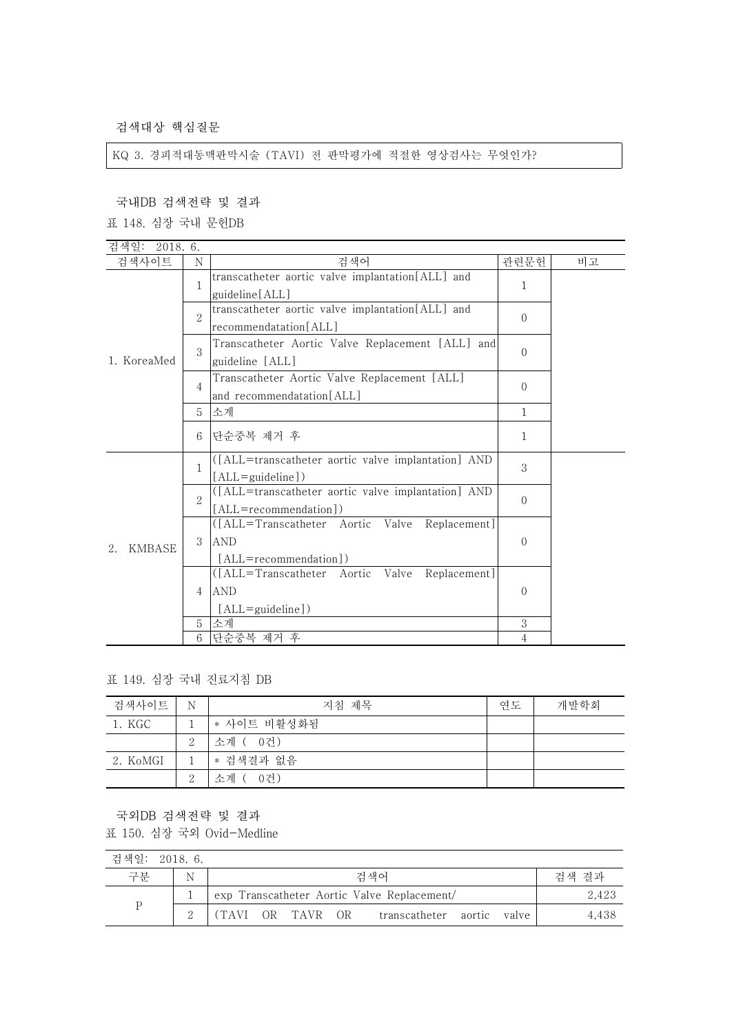검색대상 핵심질문

KQ 3. 경피적대동맥판막시술 (TAVI) 전 판막평가에 적절한 영상검사는 무엇인가?

국내DB 검색전략 및 결과

표 148. 심장 국내 문헌DB

| 검색일: 2018.6.        |                             |                                                     |                |    |
|---------------------|-----------------------------|-----------------------------------------------------|----------------|----|
| 검색사이트               | N                           | 검색어                                                 | 관련문헌           | 비고 |
|                     | $\mathbf{1}$                | transcatheter aortic valve implantation[ALL] and    | 1              |    |
|                     |                             | guideline [ALL]                                     |                |    |
|                     | $\mathcal{D}_{\mathcal{L}}$ | transcatheter aortic valve implantation[ALL] and    | $\Omega$       |    |
|                     |                             | recommendatation[ALL]                               |                |    |
|                     | 3                           | Transcatheter Aortic Valve Replacement [ALL] and    |                |    |
| 1. KoreaMed         |                             | guideline [ALL]                                     | $\Omega$       |    |
|                     |                             | Transcatheter Aortic Valve Replacement [ALL]        |                |    |
|                     | 4                           | and recommendatation[ALL]                           | $\Omega$       |    |
|                     | 5                           | 소계                                                  | 1              |    |
|                     | 6                           |                                                     |                |    |
|                     |                             | 단순중복 제거 후                                           | 1              |    |
|                     | 1                           | ([ALL=transcatheter aortic valve implantation] AND  | 3              |    |
|                     |                             | [ALL=guideline])                                    |                |    |
|                     | $\mathcal{D}_{\mathcal{L}}$ | ([ALL=transcatheter aortic valve implantation] AND  | $\Omega$       |    |
|                     |                             | [ALL=recommendation])                               |                |    |
|                     | 3                           | ([ALL=Transcatheter Aortic Valve<br>Replacement     |                |    |
| <b>KMBASE</b><br>2. |                             | <b>AND</b>                                          | $\overline{0}$ |    |
|                     |                             | [ALL=recommendation])                               |                |    |
|                     | 4                           | Valve<br>([ALL=Transcatheter Aortic<br>Replacement] |                |    |
|                     |                             | <b>AND</b>                                          | $\Omega$       |    |
|                     |                             | [ALL=guideline])                                    |                |    |
|                     | 5                           | 소계                                                  | 3              |    |
|                     | 6                           | 단순중복 제거 후                                           | $\overline{4}$ |    |

표 149. 심장 국내 진료지침 DB

| 검색사이트    | N        | 지침 제목       | 연도 | 개발학회 |
|----------|----------|-------------|----|------|
| 1. KGC   |          | * 사이트 비활성화됨 |    |      |
|          | 2        | 소계 ( 0건)    |    |      |
| 2. KoMGI |          | │ * 검색결과 없음 |    |      |
|          | $\Omega$ | 소계 ( 0건)    |    |      |

국외DB 검색전략 및 결과

표 150. 심장 국외 Ovid-Medline

| 검색일: 2018.6. |   |  |                  |                                             |  |       |
|--------------|---|--|------------------|---------------------------------------------|--|-------|
| 구분           | N |  |                  | 검색어                                         |  | 검색 결과 |
| P            |   |  |                  | exp Transcatheter Aortic Valve Replacement/ |  | 2,423 |
|              |   |  | (TAVI OR TAVR OR | transcatheter aortic valve                  |  | 4.438 |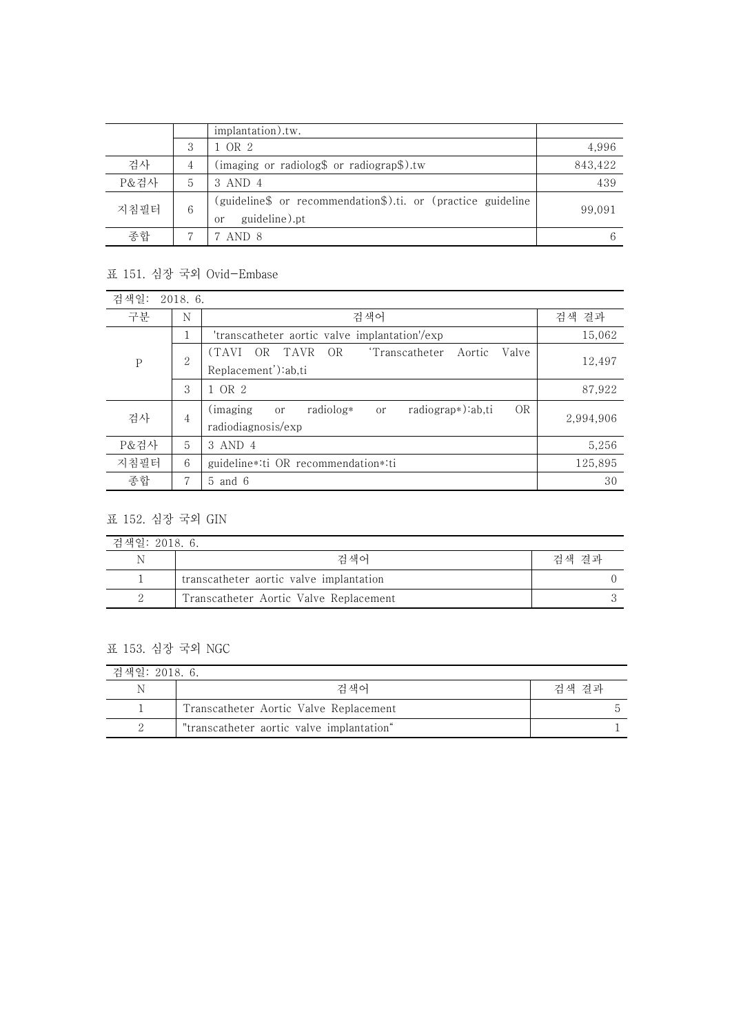|      |   | implantation).tw.                                                                   |         |
|------|---|-------------------------------------------------------------------------------------|---------|
|      | 3 | 1 OR 2                                                                              | 4,996   |
| 검사   | 4 | (imaging or radiolog\$ or radiograp\$).tw                                           | 843,422 |
| P&검사 | 5 | 3 AND 4                                                                             | 439     |
| 지침필터 | 6 | (guideline\$ or recommendation\$).ti. or (practice guideline<br>guideline).pt<br>or | 99,091  |
| 종합   |   | AND 8                                                                               | 6       |

## 표 151. 심장 국외 Ovid-Embase

| 검색일:        | 2018.6. |                                                                                                       |           |  |  |  |  |
|-------------|---------|-------------------------------------------------------------------------------------------------------|-----------|--|--|--|--|
| 구분          | N       | 검색어<br>검색 결과                                                                                          |           |  |  |  |  |
|             | ᅩ       | 'transcatheter aortic valve implantation'/exp                                                         | 15,062    |  |  |  |  |
| $\mathbf P$ | 2       | (TAVI)<br>TAVR<br>'Transcatheter<br>OR<br>- OR<br>Valve<br>Aortic<br>Replacement'):ab,ti              | 12,497    |  |  |  |  |
|             | 3       | 1 OR 2                                                                                                | 87,922    |  |  |  |  |
| 검사          | 4       | <b>OR</b><br>radiograp*):ab,ti<br>radiolog*<br>(imaging)<br><sub>or</sub><br>or<br>radiodiagnosis/exp | 2,994,906 |  |  |  |  |
| P&검사        | 5       | 3 AND 4                                                                                               | 5,256     |  |  |  |  |
| 지침필터        | 6       | 125,895<br>guideline*:ti OR recommendation*:ti                                                        |           |  |  |  |  |
| 종합          | 7       | 30<br>$5$ and $6$                                                                                     |           |  |  |  |  |

## 표 152. 심장 국외 GIN

| 검색일: 2018. 6. |                                         |       |
|---------------|-----------------------------------------|-------|
| Ν             | 거 색어                                    | 검색 결과 |
|               | transcatheter aortic valve implantation |       |
|               | Transcatheter Aortic Valve Replacement  |       |

## 표 153. 심장 국외 NGC

| 검색일: 2018. 6. |                                           |       |
|---------------|-------------------------------------------|-------|
| N             | 검색어                                       | 검색 결과 |
|               | Transcatheter Aortic Valve Replacement    |       |
|               | "transcatheter aortic valve implantation" |       |